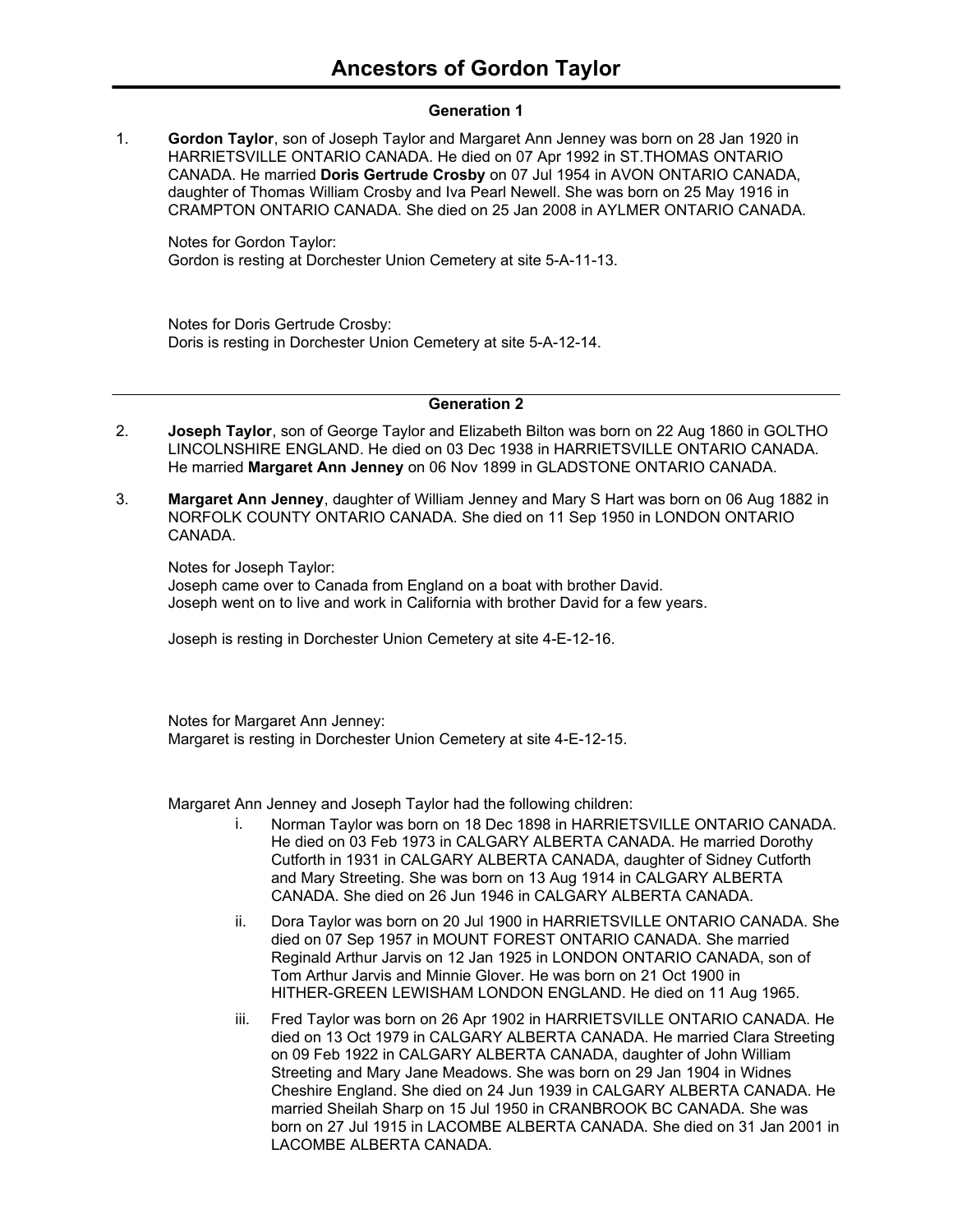### **Generation 1**

**Gordon Taylor**, son of Joseph Taylor and Margaret Ann Jenney was born on 28 Jan 1920 in HARRIETSVILLE ONTARIO CANADA. He died on 07 Apr 1992 in ST.THOMAS ONTARIO CANADA. He married **Doris Gertrude Crosby** on 07 Jul 1954 in AVON ONTARIO CANADA, daughter of Thomas William Crosby and Iva Pearl Newell. She was born on 25 May 1916 in CRAMPTON ONTARIO CANADA. She died on 25 Jan 2008 in AYLMER ONTARIO CANADA. 1.

Notes for Gordon Taylor: Gordon is resting at Dorchester Union Cemetery at site 5-A-11-13.

Notes for Doris Gertrude Crosby: Doris is resting in Dorchester Union Cemetery at site 5-A-12-14.

#### **Generation 2**

- **Joseph Taylor**, son of George Taylor and Elizabeth Bilton was born on 22 Aug 1860 in GOLTHO LINCOLNSHIRE ENGLAND. He died on 03 Dec 1938 in HARRIETSVILLE ONTARIO CANADA. He married **Margaret Ann Jenney** on 06 Nov 1899 in GLADSTONE ONTARIO CANADA. 2.
- **Margaret Ann Jenney**, daughter of William Jenney and Mary S Hart was born on 06 Aug 1882 in NORFOLK COUNTY ONTARIO CANADA. She died on 11 Sep 1950 in LONDON ONTARIO CANADA. 3.

Notes for Joseph Taylor: Joseph came over to Canada from England on a boat with brother David. Joseph went on to live and work in California with brother David for a few years.

Joseph is resting in Dorchester Union Cemetery at site 4-E-12-16.

Notes for Margaret Ann Jenney: Margaret is resting in Dorchester Union Cemetery at site 4-E-12-15.

Margaret Ann Jenney and Joseph Taylor had the following children:

- i. Norman Taylor was born on 18 Dec 1898 in HARRIETSVILLE ONTARIO CANADA. He died on 03 Feb 1973 in CALGARY ALBERTA CANADA. He married Dorothy Cutforth in 1931 in CALGARY ALBERTA CANADA, daughter of Sidney Cutforth and Mary Streeting. She was born on 13 Aug 1914 in CALGARY ALBERTA CANADA. She died on 26 Jun 1946 in CALGARY ALBERTA CANADA.
- ii. Dora Taylor was born on 20 Jul 1900 in HARRIETSVILLE ONTARIO CANADA. She died on 07 Sep 1957 in MOUNT FOREST ONTARIO CANADA. She married Reginald Arthur Jarvis on 12 Jan 1925 in LONDON ONTARIO CANADA, son of Tom Arthur Jarvis and Minnie Glover. He was born on 21 Oct 1900 in HITHER-GREEN LEWISHAM LONDON ENGLAND. He died on 11 Aug 1965.
- iii. Fred Taylor was born on 26 Apr 1902 in HARRIETSVILLE ONTARIO CANADA. He died on 13 Oct 1979 in CALGARY ALBERTA CANADA. He married Clara Streeting on 09 Feb 1922 in CALGARY ALBERTA CANADA, daughter of John William Streeting and Mary Jane Meadows. She was born on 29 Jan 1904 in Widnes Cheshire England. She died on 24 Jun 1939 in CALGARY ALBERTA CANADA. He married Sheilah Sharp on 15 Jul 1950 in CRANBROOK BC CANADA. She was born on 27 Jul 1915 in LACOMBE ALBERTA CANADA. She died on 31 Jan 2001 in LACOMBE ALBERTA CANADA.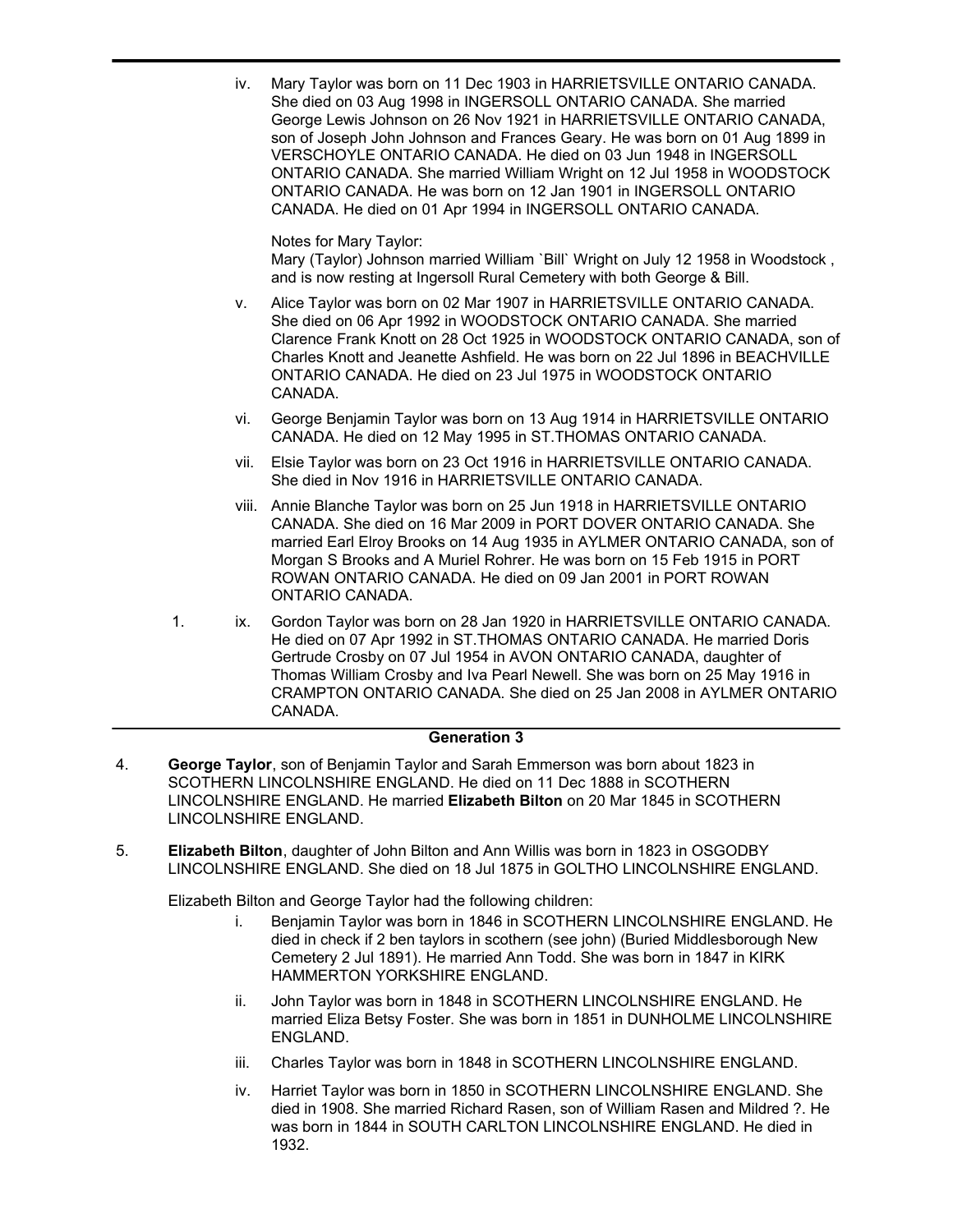iv. Mary Taylor was born on 11 Dec 1903 in HARRIETSVILLE ONTARIO CANADA. She died on 03 Aug 1998 in INGERSOLL ONTARIO CANADA. She married George Lewis Johnson on 26 Nov 1921 in HARRIETSVILLE ONTARIO CANADA, son of Joseph John Johnson and Frances Geary. He was born on 01 Aug 1899 in VERSCHOYLE ONTARIO CANADA. He died on 03 Jun 1948 in INGERSOLL ONTARIO CANADA. She married William Wright on 12 Jul 1958 in WOODSTOCK ONTARIO CANADA. He was born on 12 Jan 1901 in INGERSOLL ONTARIO CANADA. He died on 01 Apr 1994 in INGERSOLL ONTARIO CANADA.

Notes for Mary Taylor: Mary (Taylor) Johnson married William `Bill` Wright on July 12 1958 in Woodstock , and is now resting at Ingersoll Rural Cemetery with both George & Bill.

- v. Alice Taylor was born on 02 Mar 1907 in HARRIETSVILLE ONTARIO CANADA. She died on 06 Apr 1992 in WOODSTOCK ONTARIO CANADA. She married Clarence Frank Knott on 28 Oct 1925 in WOODSTOCK ONTARIO CANADA, son of Charles Knott and Jeanette Ashfield. He was born on 22 Jul 1896 in BEACHVILLE ONTARIO CANADA. He died on 23 Jul 1975 in WOODSTOCK ONTARIO CANADA.
- vi. George Benjamin Taylor was born on 13 Aug 1914 in HARRIETSVILLE ONTARIO CANADA. He died on 12 May 1995 in ST.THOMAS ONTARIO CANADA.
- vii. Elsie Taylor was born on 23 Oct 1916 in HARRIETSVILLE ONTARIO CANADA. She died in Nov 1916 in HARRIETSVILLE ONTARIO CANADA.
- viii. Annie Blanche Taylor was born on 25 Jun 1918 in HARRIETSVILLE ONTARIO CANADA. She died on 16 Mar 2009 in PORT DOVER ONTARIO CANADA. She married Earl Elroy Brooks on 14 Aug 1935 in AYLMER ONTARIO CANADA, son of Morgan S Brooks and A Muriel Rohrer. He was born on 15 Feb 1915 in PORT ROWAN ONTARIO CANADA. He died on 09 Jan 2001 in PORT ROWAN ONTARIO CANADA.
- 1. ix. Gordon Taylor was born on 28 Jan 1920 in HARRIETSVILLE ONTARIO CANADA. He died on 07 Apr 1992 in ST.THOMAS ONTARIO CANADA. He married Doris Gertrude Crosby on 07 Jul 1954 in AVON ONTARIO CANADA, daughter of Thomas William Crosby and Iva Pearl Newell. She was born on 25 May 1916 in CRAMPTON ONTARIO CANADA. She died on 25 Jan 2008 in AYLMER ONTARIO CANADA.

## **Generation 3**

- **George Taylor**, son of Benjamin Taylor and Sarah Emmerson was born about 1823 in SCOTHERN LINCOLNSHIRE ENGLAND. He died on 11 Dec 1888 in SCOTHERN LINCOLNSHIRE ENGLAND. He married **Elizabeth Bilton** on 20 Mar 1845 in SCOTHERN LINCOLNSHIRE ENGLAND. 4.
- **Elizabeth Bilton**, daughter of John Bilton and Ann Willis was born in 1823 in OSGODBY LINCOLNSHIRE ENGLAND. She died on 18 Jul 1875 in GOLTHO LINCOLNSHIRE ENGLAND. 5.

Elizabeth Bilton and George Taylor had the following children:

- i. Benjamin Taylor was born in 1846 in SCOTHERN LINCOLNSHIRE ENGLAND. He died in check if 2 ben taylors in scothern (see john) (Buried Middlesborough New Cemetery 2 Jul 1891). He married Ann Todd. She was born in 1847 in KIRK HAMMERTON YORKSHIRE ENGLAND.
- ii. John Taylor was born in 1848 in SCOTHERN LINCOLNSHIRE ENGLAND. He married Eliza Betsy Foster. She was born in 1851 in DUNHOLME LINCOLNSHIRE ENGLAND.
- iii. Charles Taylor was born in 1848 in SCOTHERN LINCOLNSHIRE ENGLAND.
- iv. Harriet Taylor was born in 1850 in SCOTHERN LINCOLNSHIRE ENGLAND. She died in 1908. She married Richard Rasen, son of William Rasen and Mildred ?. He was born in 1844 in SOUTH CARLTON LINCOLNSHIRE ENGLAND. He died in 1932.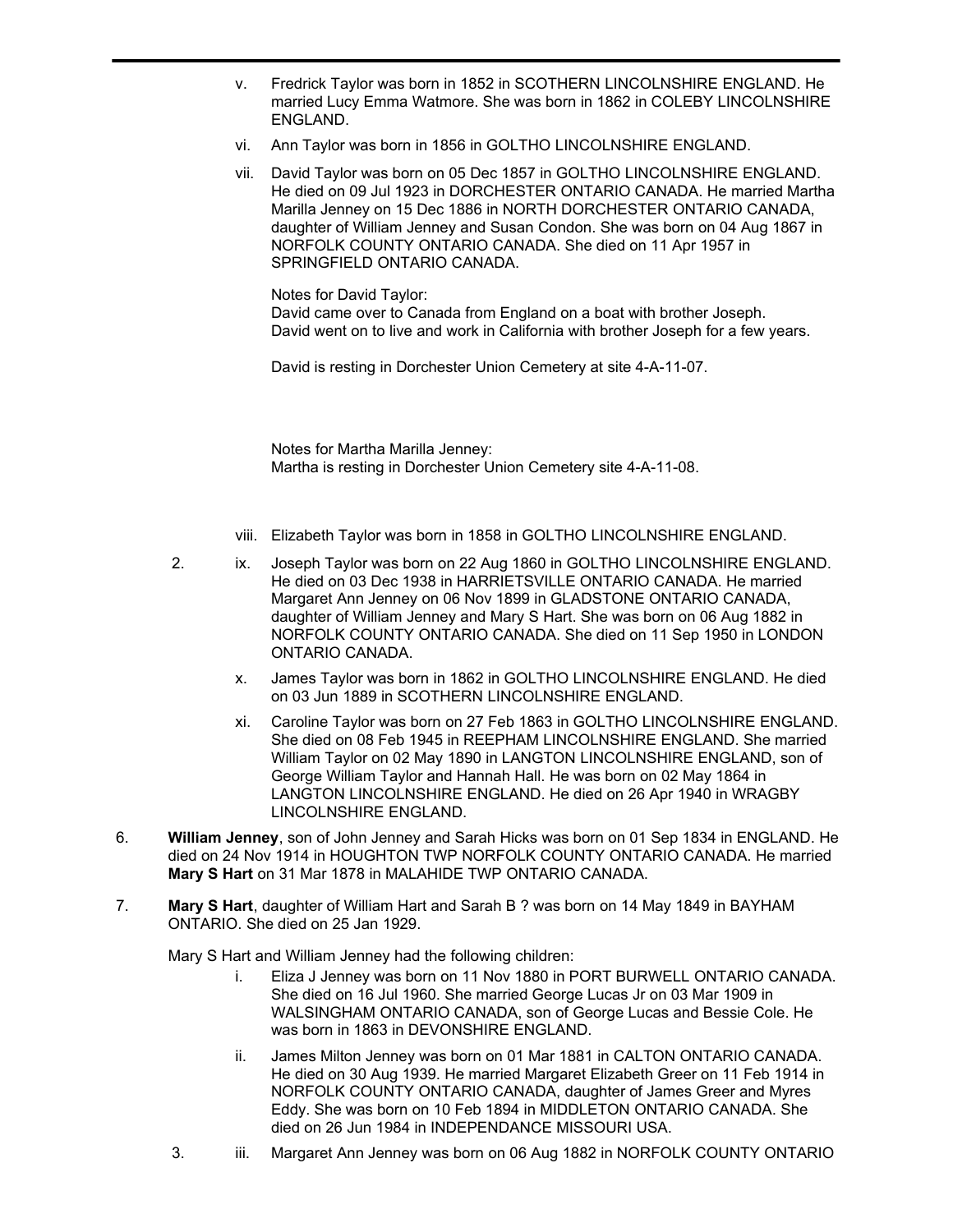- v. Fredrick Taylor was born in 1852 in SCOTHERN LINCOLNSHIRE ENGLAND. He married Lucy Emma Watmore. She was born in 1862 in COLEBY LINCOLNSHIRE ENGLAND.
- vi. Ann Taylor was born in 1856 in GOLTHO LINCOLNSHIRE ENGLAND.
- vii. David Taylor was born on 05 Dec 1857 in GOLTHO LINCOLNSHIRE ENGLAND. He died on 09 Jul 1923 in DORCHESTER ONTARIO CANADA. He married Martha Marilla Jenney on 15 Dec 1886 in NORTH DORCHESTER ONTARIO CANADA, daughter of William Jenney and Susan Condon. She was born on 04 Aug 1867 in NORFOLK COUNTY ONTARIO CANADA. She died on 11 Apr 1957 in SPRINGFIELD ONTARIO CANADA.

Notes for David Taylor: David came over to Canada from England on a boat with brother Joseph. David went on to live and work in California with brother Joseph for a few years.

David is resting in Dorchester Union Cemetery at site 4-A-11-07.

Notes for Martha Marilla Jenney: Martha is resting in Dorchester Union Cemetery site 4-A-11-08.

- viii. Elizabeth Taylor was born in 1858 in GOLTHO LINCOLNSHIRE ENGLAND.
- 2. ix. Joseph Taylor was born on 22 Aug 1860 in GOLTHO LINCOLNSHIRE ENGLAND. He died on 03 Dec 1938 in HARRIETSVILLE ONTARIO CANADA. He married Margaret Ann Jenney on 06 Nov 1899 in GLADSTONE ONTARIO CANADA, daughter of William Jenney and Mary S Hart. She was born on 06 Aug 1882 in NORFOLK COUNTY ONTARIO CANADA. She died on 11 Sep 1950 in LONDON ONTARIO CANADA.
	- x. James Taylor was born in 1862 in GOLTHO LINCOLNSHIRE ENGLAND. He died on 03 Jun 1889 in SCOTHERN LINCOLNSHIRE ENGLAND.
	- xi. Caroline Taylor was born on 27 Feb 1863 in GOLTHO LINCOLNSHIRE ENGLAND. She died on 08 Feb 1945 in REEPHAM LINCOLNSHIRE ENGLAND. She married William Taylor on 02 May 1890 in LANGTON LINCOLNSHIRE ENGLAND, son of George William Taylor and Hannah Hall. He was born on 02 May 1864 in LANGTON LINCOLNSHIRE ENGLAND. He died on 26 Apr 1940 in WRAGBY LINCOLNSHIRE ENGLAND.
- **William Jenney**, son of John Jenney and Sarah Hicks was born on 01 Sep 1834 in ENGLAND. He died on 24 Nov 1914 in HOUGHTON TWP NORFOLK COUNTY ONTARIO CANADA. He married **Mary S Hart** on 31 Mar 1878 in MALAHIDE TWP ONTARIO CANADA. 6.
- **Mary S Hart**, daughter of William Hart and Sarah B ? was born on 14 May 1849 in BAYHAM ONTARIO. She died on 25 Jan 1929. 7.

Mary S Hart and William Jenney had the following children:

- i. Eliza J Jenney was born on 11 Nov 1880 in PORT BURWELL ONTARIO CANADA. She died on 16 Jul 1960. She married George Lucas Jr on 03 Mar 1909 in WALSINGHAM ONTARIO CANADA, son of George Lucas and Bessie Cole. He was born in 1863 in DEVONSHIRE ENGLAND.
- ii. James Milton Jenney was born on 01 Mar 1881 in CALTON ONTARIO CANADA. He died on 30 Aug 1939. He married Margaret Elizabeth Greer on 11 Feb 1914 in NORFOLK COUNTY ONTARIO CANADA, daughter of James Greer and Myres Eddy. She was born on 10 Feb 1894 in MIDDLETON ONTARIO CANADA. She died on 26 Jun 1984 in INDEPENDANCE MISSOURI USA.
- 3. iii. Margaret Ann Jenney was born on 06 Aug 1882 in NORFOLK COUNTY ONTARIO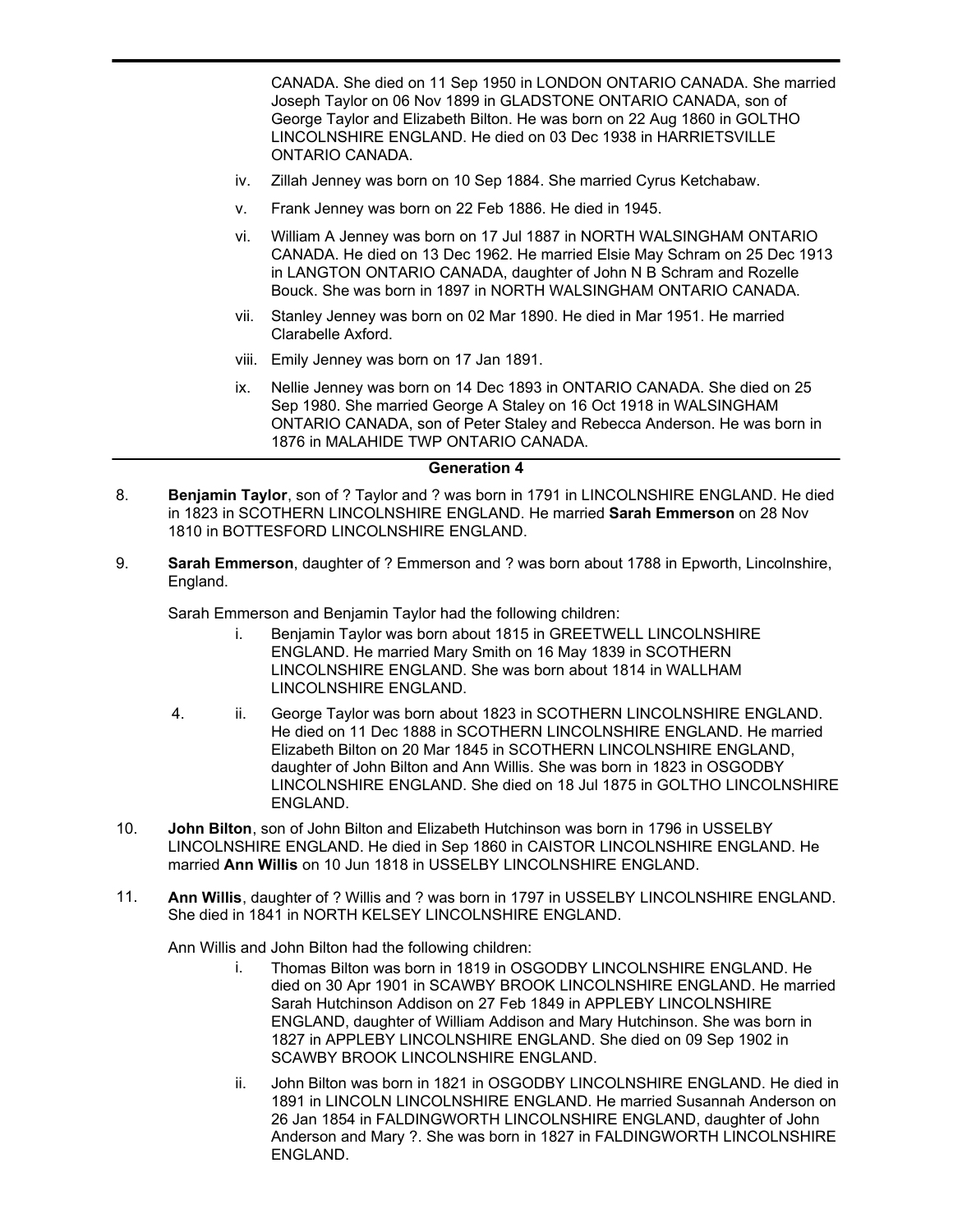CANADA. She died on 11 Sep 1950 in LONDON ONTARIO CANADA. She married Joseph Taylor on 06 Nov 1899 in GLADSTONE ONTARIO CANADA, son of George Taylor and Elizabeth Bilton. He was born on 22 Aug 1860 in GOLTHO LINCOLNSHIRE ENGLAND. He died on 03 Dec 1938 in HARRIETSVILLE ONTARIO CANADA.

- iv. Zillah Jenney was born on 10 Sep 1884. She married Cyrus Ketchabaw.
- v. Frank Jenney was born on 22 Feb 1886. He died in 1945.
- vi. William A Jenney was born on 17 Jul 1887 in NORTH WALSINGHAM ONTARIO CANADA. He died on 13 Dec 1962. He married Elsie May Schram on 25 Dec 1913 in LANGTON ONTARIO CANADA, daughter of John N B Schram and Rozelle Bouck. She was born in 1897 in NORTH WALSINGHAM ONTARIO CANADA.
- vii. Stanley Jenney was born on 02 Mar 1890. He died in Mar 1951. He married Clarabelle Axford.
- viii. Emily Jenney was born on 17 Jan 1891.

3. iii.

ix. Nellie Jenney was born on 14 Dec 1893 in ONTARIO CANADA. She died on 25 Sep 1980. She married George A Staley on 16 Oct 1918 in WALSINGHAM ONTARIO CANADA, son of Peter Staley and Rebecca Anderson. He was born in 1876 in MALAHIDE TWP ONTARIO CANADA.

#### **Generation 4**

- **Benjamin Taylor**, son of ? Taylor and ? was born in 1791 in LINCOLNSHIRE ENGLAND. He died in 1823 in SCOTHERN LINCOLNSHIRE ENGLAND. He married **Sarah Emmerson** on 28 Nov 1810 in BOTTESFORD LINCOLNSHIRE ENGLAND. 8.
- **Sarah Emmerson**, daughter of ? Emmerson and ? was born about 1788 in Epworth, Lincolnshire, England. 9.

Sarah Emmerson and Benjamin Taylor had the following children:

- i. Benjamin Taylor was born about 1815 in GREETWELL LINCOLNSHIRE ENGLAND. He married Mary Smith on 16 May 1839 in SCOTHERN LINCOLNSHIRE ENGLAND. She was born about 1814 in WALLHAM LINCOLNSHIRE ENGLAND.
- 4. ii. George Taylor was born about 1823 in SCOTHERN LINCOLNSHIRE ENGLAND. He died on 11 Dec 1888 in SCOTHERN LINCOLNSHIRE ENGLAND. He married Elizabeth Bilton on 20 Mar 1845 in SCOTHERN LINCOLNSHIRE ENGLAND, daughter of John Bilton and Ann Willis. She was born in 1823 in OSGODBY LINCOLNSHIRE ENGLAND. She died on 18 Jul 1875 in GOLTHO LINCOLNSHIRE ENGLAND.
- **John Bilton**, son of John Bilton and Elizabeth Hutchinson was born in 1796 in USSELBY LINCOLNSHIRE ENGLAND. He died in Sep 1860 in CAISTOR LINCOLNSHIRE ENGLAND. He married **Ann Willis** on 10 Jun 1818 in USSELBY LINCOLNSHIRE ENGLAND. 10.
- **Ann Willis**, daughter of ? Willis and ? was born in 1797 in USSELBY LINCOLNSHIRE ENGLAND. She died in 1841 in NORTH KELSEY LINCOLNSHIRE ENGLAND. 11.

Ann Willis and John Bilton had the following children:

- i. Thomas Bilton was born in 1819 in OSGODBY LINCOLNSHIRE ENGLAND. He died on 30 Apr 1901 in SCAWBY BROOK LINCOLNSHIRE ENGLAND. He married Sarah Hutchinson Addison on 27 Feb 1849 in APPLEBY LINCOLNSHIRE ENGLAND, daughter of William Addison and Mary Hutchinson. She was born in 1827 in APPLEBY LINCOLNSHIRE ENGLAND. She died on 09 Sep 1902 in SCAWBY BROOK LINCOLNSHIRE ENGLAND.
- ii. John Bilton was born in 1821 in OSGODBY LINCOLNSHIRE ENGLAND. He died in 1891 in LINCOLN LINCOLNSHIRE ENGLAND. He married Susannah Anderson on 26 Jan 1854 in FALDINGWORTH LINCOLNSHIRE ENGLAND, daughter of John Anderson and Mary ?. She was born in 1827 in FALDINGWORTH LINCOLNSHIRE ENGLAND.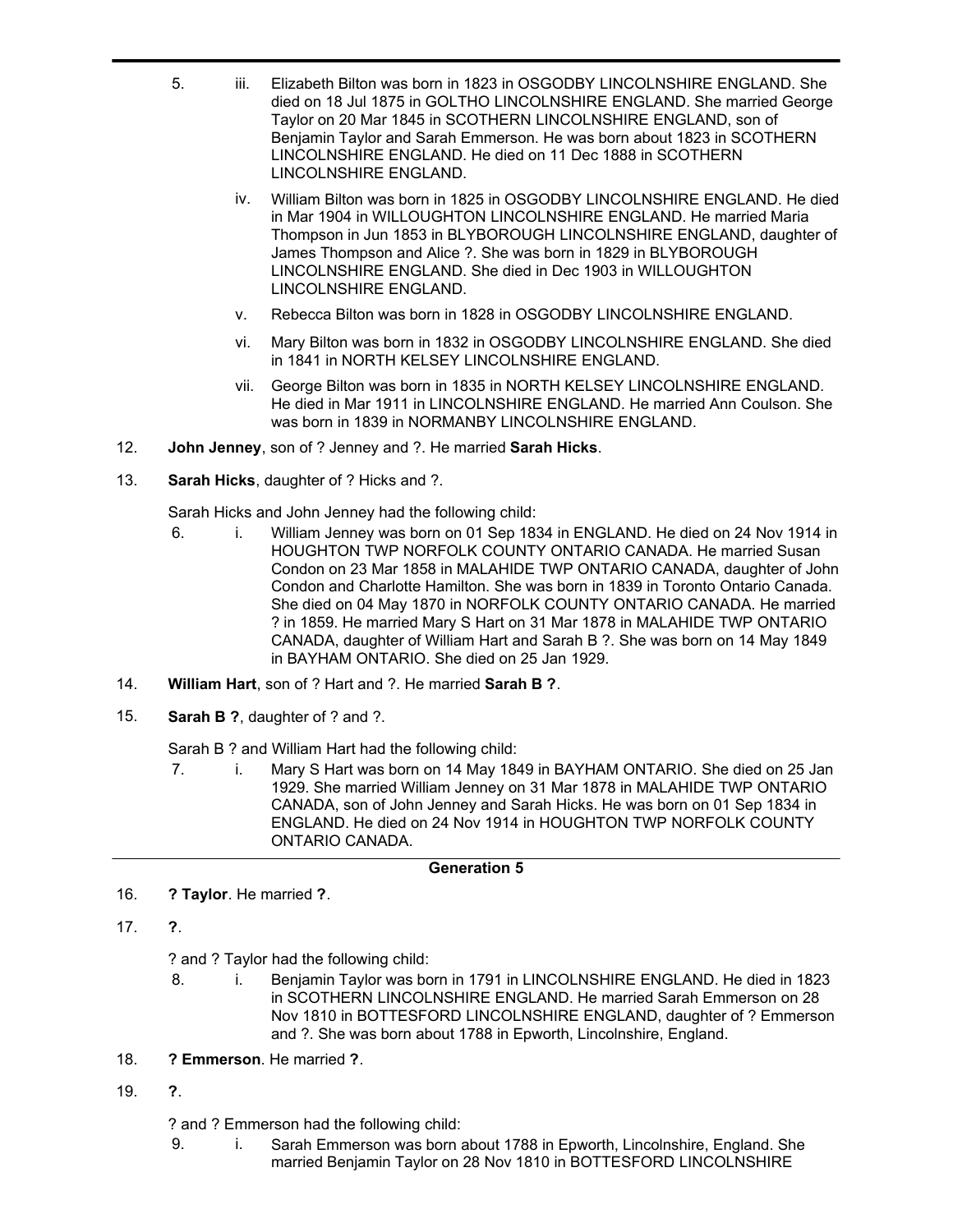- 5. iii. Elizabeth Bilton was born in 1823 in OSGODBY LINCOLNSHIRE ENGLAND. She died on 18 Jul 1875 in GOLTHO LINCOLNSHIRE ENGLAND. She married George Taylor on 20 Mar 1845 in SCOTHERN LINCOLNSHIRE ENGLAND, son of Benjamin Taylor and Sarah Emmerson. He was born about 1823 in SCOTHERN LINCOLNSHIRE ENGLAND. He died on 11 Dec 1888 in SCOTHERN LINCOLNSHIRE ENGLAND.
	- iv. William Bilton was born in 1825 in OSGODBY LINCOLNSHIRE ENGLAND. He died in Mar 1904 in WILLOUGHTON LINCOLNSHIRE ENGLAND. He married Maria Thompson in Jun 1853 in BLYBOROUGH LINCOLNSHIRE ENGLAND, daughter of James Thompson and Alice ?. She was born in 1829 in BLYBOROUGH LINCOLNSHIRE ENGLAND. She died in Dec 1903 in WILLOUGHTON LINCOLNSHIRE ENGLAND.
	- v. Rebecca Bilton was born in 1828 in OSGODBY LINCOLNSHIRE ENGLAND.
	- vi. Mary Bilton was born in 1832 in OSGODBY LINCOLNSHIRE ENGLAND. She died in 1841 in NORTH KELSEY LINCOLNSHIRE ENGLAND.
	- vii. George Bilton was born in 1835 in NORTH KELSEY LINCOLNSHIRE ENGLAND. He died in Mar 1911 in LINCOLNSHIRE ENGLAND. He married Ann Coulson. She was born in 1839 in NORMANBY LINCOLNSHIRE ENGLAND.
- 12. **John Jenney**, son of ? Jenney and ?. He married **Sarah Hicks**.
- 13. **Sarah Hicks**, daughter of ? Hicks and ?.

Sarah Hicks and John Jenney had the following child:

- 6. i. William Jenney was born on 01 Sep 1834 in ENGLAND. He died on 24 Nov 1914 in HOUGHTON TWP NORFOLK COUNTY ONTARIO CANADA. He married Susan Condon on 23 Mar 1858 in MALAHIDE TWP ONTARIO CANADA, daughter of John Condon and Charlotte Hamilton. She was born in 1839 in Toronto Ontario Canada. She died on 04 May 1870 in NORFOLK COUNTY ONTARIO CANADA. He married ? in 1859. He married Mary S Hart on 31 Mar 1878 in MALAHIDE TWP ONTARIO CANADA, daughter of William Hart and Sarah B ?. She was born on 14 May 1849 in BAYHAM ONTARIO. She died on 25 Jan 1929.
- 14. **William Hart**, son of ? Hart and ?. He married **Sarah B ?**.
- 15. **Sarah B ?**, daughter of ? and ?.

Sarah B ? and William Hart had the following child:

7. i. Mary S Hart was born on 14 May 1849 in BAYHAM ONTARIO. She died on 25 Jan 1929. She married William Jenney on 31 Mar 1878 in MALAHIDE TWP ONTARIO CANADA, son of John Jenney and Sarah Hicks. He was born on 01 Sep 1834 in ENGLAND. He died on 24 Nov 1914 in HOUGHTON TWP NORFOLK COUNTY ONTARIO CANADA.

# **Generation 5**

- 16. **? Taylor**. He married **?**.
- 17. **?**.

? and ? Taylor had the following child:

- 8. i. Benjamin Taylor was born in 1791 in LINCOLNSHIRE ENGLAND. He died in 1823 in SCOTHERN LINCOLNSHIRE ENGLAND. He married Sarah Emmerson on 28 Nov 1810 in BOTTESFORD LINCOLNSHIRE ENGLAND, daughter of ? Emmerson and ?. She was born about 1788 in Epworth, Lincolnshire, England.
- 18. **? Emmerson**. He married **?**.
- 19. **?**.

? and ? Emmerson had the following child:

9. i. Sarah Emmerson was born about 1788 in Epworth, Lincolnshire, England. She married Benjamin Taylor on 28 Nov 1810 in BOTTESFORD LINCOLNSHIRE